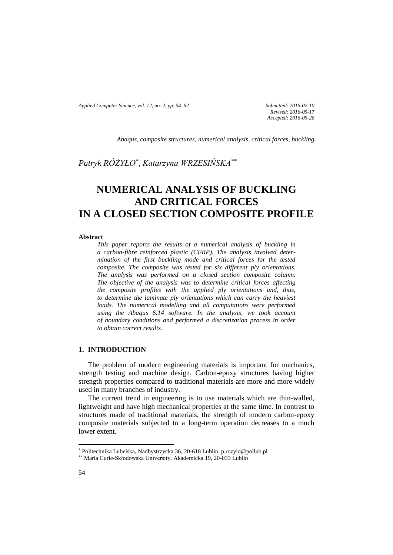*Applied Computer Science, vol. 12, no. 2, pp. 54–62 Submitted: 2016-02-10*

*Revised: 2016-05-17 Accepted: 2016-05-26*

*Abaqus, composite structures, numerical analysis, critical forces, buckling*

*Patryk RÓŻYŁO\* , Katarzyna WRZESIŃSKA\*\**

# **NUMERICAL ANALYSIS OF BUCKLING AND CRITICAL FORCES IN A CLOSED SECTION COMPOSITE PROFILE**

#### **Abstract**

*This paper reports the results of a numerical analysis of buckling in a carbon-fibre reinforced plastic (CFRP). The analysis involved determination of the first buckling mode and critical forces for the tested composite. The composite was tested for six different ply orientations. The analysis was performed on a closed section composite column. The objective of the analysis was to determine critical forces affecting the composite profiles with the applied ply orientations and, thus, to determine the laminate ply orientations which can carry the heaviest loads. The numerical modelling and all computations were performed using the Abaqus 6.14 software. In the analysis, we took account of boundary conditions and performed a discretization process in order to obtain correct results.*

# **1. INTRODUCTION**

The problem of modern engineering materials is important for mechanics, strength testing and machine design. Carbon-epoxy structures having higher strength properties compared to traditional materials are more and more widely used in many branches of industry.

The current trend in engineering is to use materials which are thin-walled, lightweight and have high mechanical properties at the same time. In contrast to structures made of traditional materials, the strength of modern carbon-epoxy composite materials subjected to a long-term operation decreases to a much lower extent.

 $\overline{\phantom{a}}$ 

<sup>\*</sup> Politechnika Lubelska, Nadbystrzycka 36, 20-618 Lublin, p.rozylo@pollub.pl

<sup>\*\*</sup> Maria Curie-Skłodowska University, Akademicka 19, 20-033 Lublin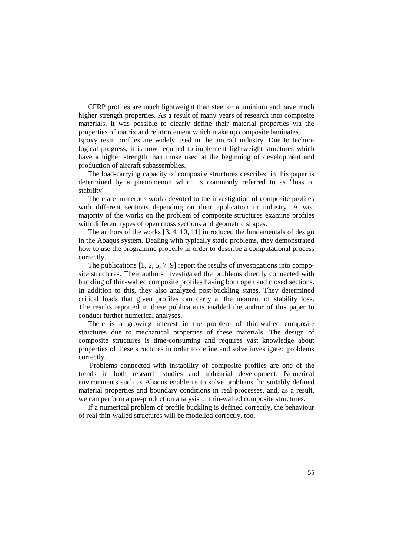CFRP profiles are much lightweight than steel or aluminium and have much higher strength properties. As a result of many years of research into composite materials, it was possible to clearly define their material properties via the properties of matrix and reinforcement which make up composite laminates.

Epoxy resin profiles are widely used in the aircraft industry. Due to technological progress, it is now required to implement lightweight structures which have a higher strength than those used at the beginning of development and production of aircraft subassemblies.

The load-carrying capacity of composite structures described in this paper is determined by a phenomenon which is commonly referred to as "loss of stability".

There are numerous works devoted to the investigation of composite profiles with different sections depending on their application in industry. A vast majority of the works on the problem of composite structures examine profiles with different types of open cross sections and geometric shapes.

The authors of the works [3, 4, 10, 11] introduced the fundamentals of design in the Abaqus system**.** Dealing with typically static problems, they demonstrated how to use the programme properly in order to describe a computational process correctly.

The publications [1, 2, 5, 7–9] report the results of investigations into composite structures. Their authors investigated the problems directly connected with buckling of thin-walled composite profiles having both open and closed sections. In addition to this, they also analyzed post-buckling states. They determined critical loads that given profiles can carry at the moment of stability loss. The results reported in these publications enabled the author of this paper to conduct further numerical analyses.

There is a growing interest in the problem of thin-walled composite structures due to mechanical properties of these materials. The design of composite structures is time-consuming and requires vast knowledge about properties of these structures in order to define and solve investigated problems correctly.

Problems connected with instability of composite profiles are one of the trends in both research studies and industrial development. Numerical environments such as Abaqus enable us to solve problems for suitably defined material properties and boundary conditions in real processes, and, as a result, we can perform a pre-production analysis of thin-walled composite structures.

If a numerical problem of profile buckling is defined correctly, the behaviour of real thin-walled structures will be modelled correctly, too.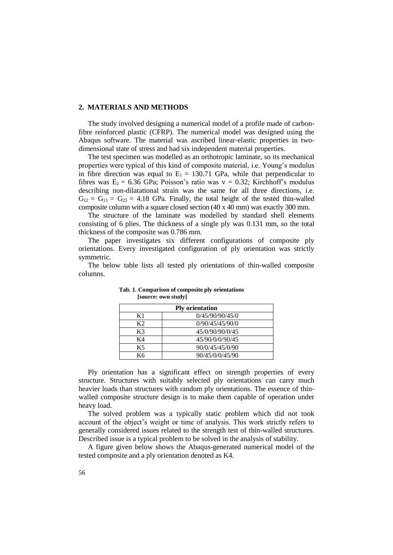#### **2. MATERIALS AND METHODS**

The study involved designing a numerical model of a profile made of carbonfibre reinforced plastic (CFRP). The numerical model was designed using the Abaqus software. The material was ascribed linear-elastic properties in twodimensional state of stress and had six independent material properties.

The test specimen was modelled as an orthotropic laminate, so its mechanical properties were typical of this kind of composite material, i.e. Young's modulus in fibre direction was equal to  $E_1 = 130.71$  GPa, while that perpendicular to fibres was  $E_2 = 6.36$  GPa; Poisson's ratio was  $v = 0.32$ ; Kirchhoff's modulus describing non-dilatational strain was the same for all three directions, i.e.  $G_{12} = G_{13} = G_{23} = 4.18$  GPa. Finally, the total height of the tested thin-walled composite column with a square closed section (40 x 40 mm) was exactly 300 mm.

The structure of the laminate was modelled by standard shell elements consisting of 6 plies. The thickness of a single ply was 0.131 mm, so the total thickness of the composite was 0.786 mm.

The paper investigates six different configurations of composite ply orientations. Every investigated configuration of ply orientation was strictly symmetric.

The below table lists all tested ply orientations of thin-walled composite columns.

| <b>Ply orientation</b> |                 |
|------------------------|-----------------|
| K1                     | 0/45/90/90/45/0 |
| K2                     | 0/90/45/45/90/0 |
| K3                     | 45/0/90/90/0/45 |
| K4                     | 45/90/0/0/90/45 |
| K5                     | 90/0/45/45/0/90 |
| K6                     | 90/45/0/0/45/90 |

 **Tab. 1. Comparison of composite ply orientations [source: own study]**

Ply orientation has a significant effect on strength properties of every structure. Structures with suitably selected ply orientations can carry much heavier loads than structures with random ply orientations. The essence of thinwalled composite structure design is to make them capable of operation under heavy load.

The solved problem was a typically static problem which did not took account of the object's weight or time of analysis. This work strictly refers to generally considered issues related to the strength test of thin-walled structures. Described issue is a typical problem to be solved in the analysis of stability.

A figure given below shows the Abaqus-generated numerical model of the tested composite and a ply orientation denoted as K4.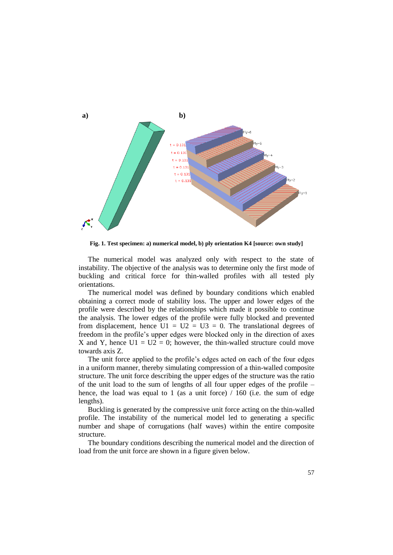

**Fig. 1. Test specimen: a) numerical model, b) ply orientation K4 [source: own study]**

The numerical model was analyzed only with respect to the state of instability. The objective of the analysis was to determine only the first mode of buckling and critical force for thin-walled profiles with all tested ply orientations.

The numerical model was defined by boundary conditions which enabled obtaining a correct mode of stability loss. The upper and lower edges of the profile were described by the relationships which made it possible to continue the analysis. The lower edges of the profile were fully blocked and prevented from displacement, hence  $U1 = U2 = U3 = 0$ . The translational degrees of freedom in the profile's upper edges were blocked only in the direction of axes X and Y, hence  $U1 = U2 = 0$ ; however, the thin-walled structure could move towards axis Z.

The unit force applied to the profile's edges acted on each of the four edges in a uniform manner, thereby simulating compression of a thin-walled composite structure. The unit force describing the upper edges of the structure was the ratio of the unit load to the sum of lengths of all four upper edges of the profile – hence, the load was equal to 1 (as a unit force) / 160 (i.e. the sum of edge lengths).

Buckling is generated by the compressive unit force acting on the thin-walled profile. The instability of the numerical model led to generating a specific number and shape of corrugations (half waves) within the entire composite structure.

The boundary conditions describing the numerical model and the direction of load from the unit force are shown in a figure given below.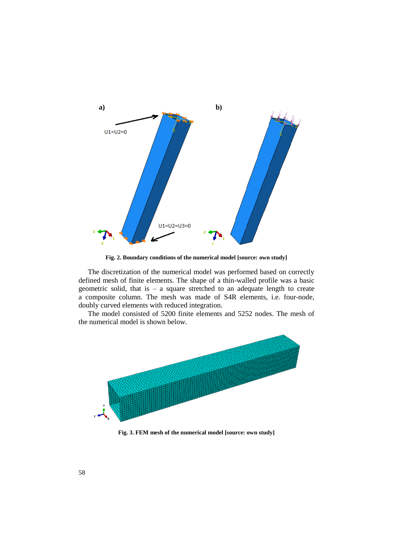

**Fig. 2. Boundary conditions of the numerical model [source: own study]**

The discretization of the numerical model was performed based on correctly defined mesh of finite elements. The shape of a thin-walled profile was a basic geometric solid, that is – a square stretched to an adequate length to create a composite column. The mesh was made of S4R elements, i.e. four-node, doubly curved elements with reduced integration.

The model consisted of 5200 finite elements and 5252 nodes. The mesh of the numerical model is shown below.



**Fig. 3. FEM mesh of the numerical model [source: own study]**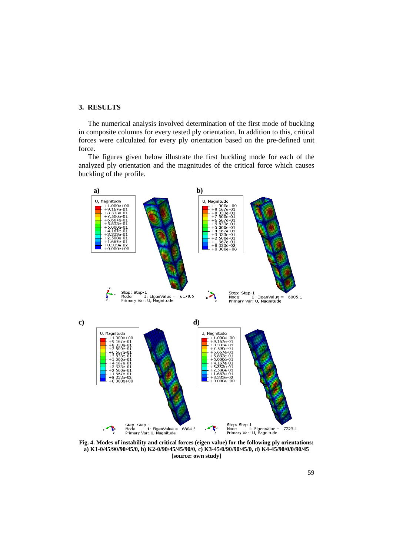## **3. RESULTS**

The numerical analysis involved determination of the first mode of buckling in composite columns for every tested ply orientation. In addition to this, critical forces were calculated for every ply orientation based on the pre-defined unit force.

The figures given below illustrate the first buckling mode for each of the analyzed ply orientation and the magnitudes of the critical force which causes buckling of the profile.



**Fig. 4. Modes of instability and critical forces (eigen value) for the following ply orientations: a) K1-0/45/90/90/45/0, b) K2-0/90/45/45/90/0, c) K3-45/0/90/90/45/0, d) K4-45/90/0/0/90/45 [source: own study]**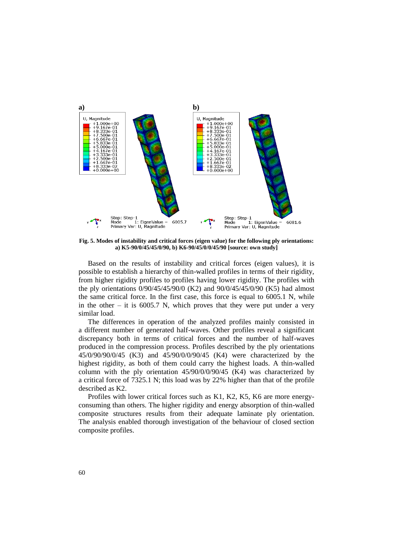

**Fig. 5. Modes of instability and critical forces (eigen value) for the following ply orientations: a) K5-90/0/45/45/0/90, b) K6-90/45/0/0/45/90 [source: own study]**

Based on the results of instability and critical forces (eigen values), it is possible to establish a hierarchy of thin-walled profiles in terms of their rigidity, from higher rigidity profiles to profiles having lower rigidity. The profiles with the ply orientations 0/90/45/45/90/0 (K2) and 90/0/45/45/0/90 (K5) had almost the same critical force. In the first case, this force is equal to 6005.1 N, while in the other – it is  $6005.7$  N, which proves that they were put under a very similar load.

The differences in operation of the analyzed profiles mainly consisted in a different number of generated half-waves. Other profiles reveal a significant discrepancy both in terms of critical forces and the number of half-waves produced in the compression process. Profiles described by the ply orientations 45/0/90/90/0/45 (K3) and 45/90/0/0/90/45 (K4) were characterized by the highest rigidity, as both of them could carry the highest loads. A thin-walled column with the ply orientation  $45/90/0/90/45$  (K4) was characterized by a critical force of 7325.1 N; this load was by 22% higher than that of the profile described as K2.

Profiles with lower critical forces such as K1, K2, K5, K6 are more energyconsuming than others. The higher rigidity and energy absorption of thin-walled composite structures results from their adequate laminate ply orientation. The analysis enabled thorough investigation of the behaviour of closed section composite profiles.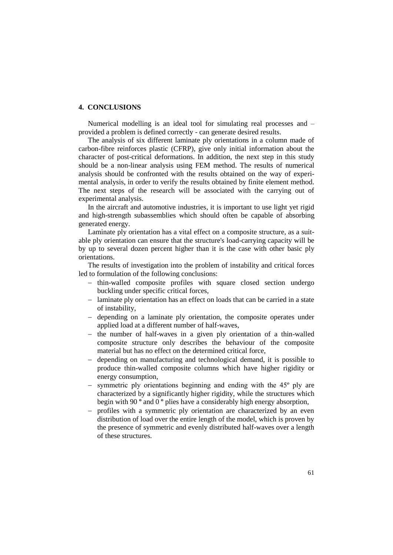### **4. CONCLUSIONS**

Numerical modelling is an ideal tool for simulating real processes and – provided a problem is defined correctly - can generate desired results.

The analysis of six different laminate ply orientations in a column made of carbon-fibre reinforces plastic (CFRP), give only initial information about the character of post-critical deformations. In addition, the next step in this study should be a non-linear analysis using FEM method. The results of numerical analysis should be confronted with the results obtained on the way of experimental analysis, in order to verify the results obtained by finite element method. The next steps of the research will be associated with the carrying out of experimental analysis.

In the aircraft and automotive industries, it is important to use light yet rigid and high-strength subassemblies which should often be capable of absorbing generated energy.

Laminate ply orientation has a vital effect on a composite structure, as a suitable ply orientation can ensure that the structure's load-carrying capacity will be by up to several dozen percent higher than it is the case with other basic ply orientations.

The results of investigation into the problem of instability and critical forces led to formulation of the following conclusions:

- thin-walled composite profiles with square closed section undergo buckling under specific critical forces,
- laminate ply orientation has an effect on loads that can be carried in a state of instability,
- depending on a laminate ply orientation, the composite operates under applied load at a different number of half-waves,
- $-$  the number of half-waves in a given ply orientation of a thin-walled composite structure only describes the behaviour of the composite material but has no effect on the determined critical force,
- depending on manufacturing and technological demand, it is possible to produce thin-walled composite columns which have higher rigidity or energy consumption,
- symmetric ply orientations beginning and ending with the 45º ply are characterized by a significantly higher rigidity, while the structures which begin with 90 **º** and 0 **º** plies have a considerably high energy absorption,
- profiles with a symmetric ply orientation are characterized by an even distribution of load over the entire length of the model, which is proven by the presence of symmetric and evenly distributed half-waves over a length of these structures.